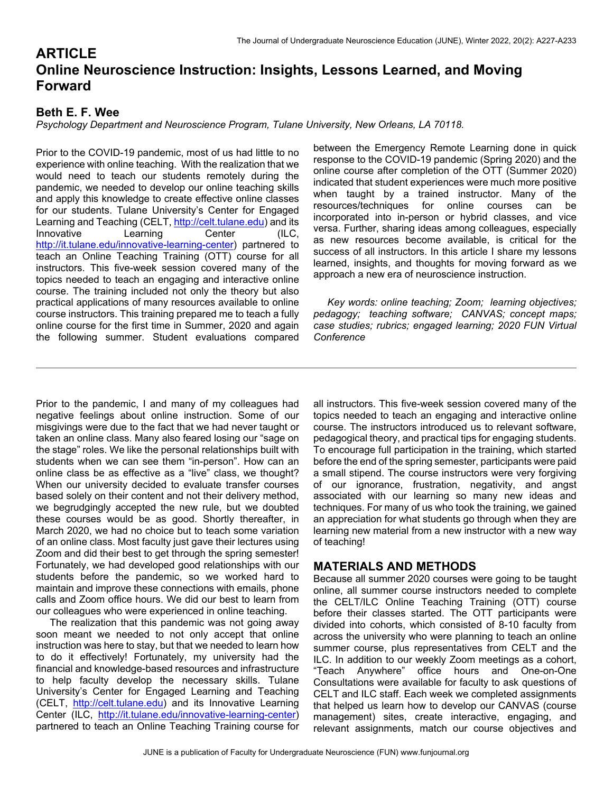# **ARTICLE Online Neuroscience Instruction: Insights, Lessons Learned, and Moving Forward**

# **Beth E. F. Wee**

*Psychology Department and Neuroscience Program, Tulane University, New Orleans, LA 70118.* 

Prior to the COVID-19 pandemic, most of us had little to no experience with online teaching. With the realization that we would need to teach our students remotely during the pandemic, we needed to develop our online teaching skills and apply this knowledge to create effective online classes for our students. Tulane University's Center for Engaged Learning and Teaching (CELT, http://celt.tulane.edu) and its Innovative Learning Center (ILC, http://it.tulane.edu/innovative-learning-center) partnered to teach an Online Teaching Training (OTT) course for all instructors. This five-week session covered many of the topics needed to teach an engaging and interactive online course. The training included not only the theory but also practical applications of many resources available to online course instructors. This training prepared me to teach a fully online course for the first time in Summer, 2020 and again the following summer. Student evaluations compared

between the Emergency Remote Learning done in quick response to the COVID-19 pandemic (Spring 2020) and the online course after completion of the OTT (Summer 2020) indicated that student experiences were much more positive when taught by a trained instructor. Many of the resources/techniques for online courses can be incorporated into in-person or hybrid classes, and vice versa. Further, sharing ideas among colleagues, especially as new resources become available, is critical for the success of all instructors. In this article I share my lessons learned, insights, and thoughts for moving forward as we approach a new era of neuroscience instruction.

 *Key words: online teaching; Zoom; learning objectives; pedagogy; teaching software; CANVAS; concept maps; case studies; rubrics; engaged learning; 2020 FUN Virtual Conference* 

Prior to the pandemic, I and many of my colleagues had negative feelings about online instruction. Some of our misgivings were due to the fact that we had never taught or taken an online class. Many also feared losing our "sage on the stage" roles. We like the personal relationships built with students when we can see them "in-person". How can an online class be as effective as a "live" class, we thought? When our university decided to evaluate transfer courses based solely on their content and not their delivery method, we begrudgingly accepted the new rule, but we doubted these courses would be as good. Shortly thereafter, in March 2020, we had no choice but to teach some variation of an online class. Most faculty just gave their lectures using Zoom and did their best to get through the spring semester! Fortunately, we had developed good relationships with our students before the pandemic, so we worked hard to maintain and improve these connections with emails, phone calls and Zoom office hours. We did our best to learn from our colleagues who were experienced in online teaching.

 The realization that this pandemic was not going away soon meant we needed to not only accept that online instruction was here to stay, but that we needed to learn how to do it effectively! Fortunately, my university had the financial and knowledge-based resources and infrastructure to help faculty develop the necessary skills. Tulane University's Center for Engaged Learning and Teaching (CELT, http://celt.tulane.edu) and its Innovative Learning Center (ILC, http://it.tulane.edu/innovative-learning-center) partnered to teach an Online Teaching Training course for all instructors. This five-week session covered many of the topics needed to teach an engaging and interactive online course. The instructors introduced us to relevant software, pedagogical theory, and practical tips for engaging students. To encourage full participation in the training, which started before the end of the spring semester, participants were paid a small stipend. The course instructors were very forgiving of our ignorance, frustration, negativity, and angst associated with our learning so many new ideas and techniques. For many of us who took the training, we gained an appreciation for what students go through when they are learning new material from a new instructor with a new way of teaching!

# **MATERIALS AND METHODS**

Because all summer 2020 courses were going to be taught online, all summer course instructors needed to complete the CELT/ILC Online Teaching Training (OTT) course before their classes started. The OTT participants were divided into cohorts, which consisted of 8-10 faculty from across the university who were planning to teach an online summer course, plus representatives from CELT and the ILC. In addition to our weekly Zoom meetings as a cohort, "Teach Anywhere" office hours and One-on-One Consultations were available for faculty to ask questions of CELT and ILC staff. Each week we completed assignments that helped us learn how to develop our CANVAS (course management) sites, create interactive, engaging, and relevant assignments, match our course objectives and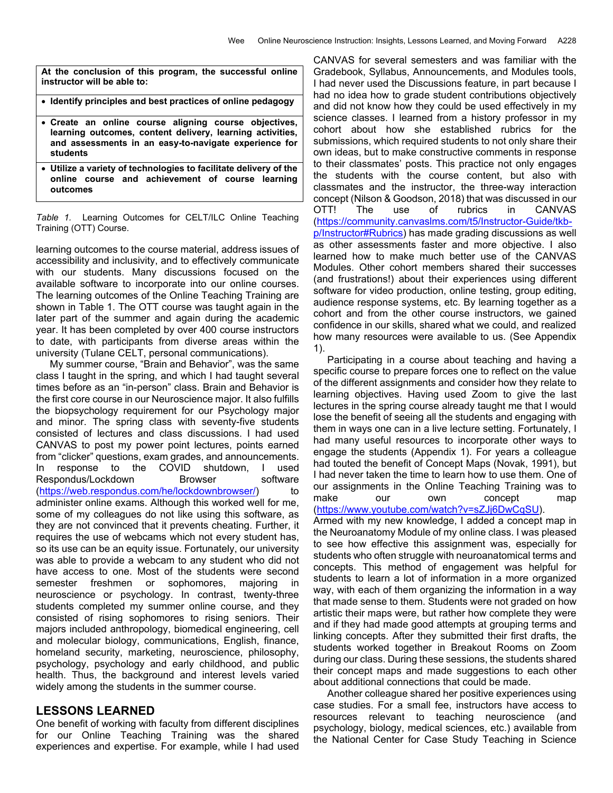**At the conclusion of this program, the successful online instructor will be able to:** 

- **Identify principles and best practices of online pedagogy**
- **Create an online course aligning course objectives, learning outcomes, content delivery, learning activities, and assessments in an easy-to-navigate experience for students**
- **Utilize a variety of technologies to facilitate delivery of the online course and achievement of course learning outcomes**

*Table 1.* Learning Outcomes for CELT/ILC Online Teaching Training (OTT) Course.

learning outcomes to the course material, address issues of accessibility and inclusivity, and to effectively communicate with our students. Many discussions focused on the available software to incorporate into our online courses. The learning outcomes of the Online Teaching Training are shown in Table 1. The OTT course was taught again in the later part of the summer and again during the academic year. It has been completed by over 400 course instructors to date, with participants from diverse areas within the university (Tulane CELT, personal communications).

 My summer course, "Brain and Behavior", was the same class I taught in the spring, and which I had taught several times before as an "in-person" class. Brain and Behavior is the first core course in our Neuroscience major. It also fulfills the biopsychology requirement for our Psychology major and minor. The spring class with seventy-five students consisted of lectures and class discussions. I had used CANVAS to post my power point lectures, points earned from "clicker" questions, exam grades, and announcements. In response to the COVID shutdown, I used Respondus/Lockdown Browser software (https://web.respondus.com/he/lockdownbrowser/) to administer online exams. Although this worked well for me, some of my colleagues do not like using this software, as they are not convinced that it prevents cheating. Further, it requires the use of webcams which not every student has, so its use can be an equity issue. Fortunately, our university was able to provide a webcam to any student who did not have access to one. Most of the students were second semester freshmen or sophomores, majoring in neuroscience or psychology. In contrast, twenty-three students completed my summer online course, and they consisted of rising sophomores to rising seniors. Their majors included anthropology, biomedical engineering, cell and molecular biology, communications, English, finance, homeland security, marketing, neuroscience, philosophy, psychology, psychology and early childhood, and public health. Thus, the background and interest levels varied widely among the students in the summer course.

### **LESSONS LEARNED**

One benefit of working with faculty from different disciplines for our Online Teaching Training was the shared experiences and expertise. For example, while I had used CANVAS for several semesters and was familiar with the Gradebook, Syllabus, Announcements, and Modules tools, I had never used the Discussions feature, in part because I had no idea how to grade student contributions objectively and did not know how they could be used effectively in my science classes. I learned from a history professor in my cohort about how she established rubrics for the submissions, which required students to not only share their own ideas, but to make constructive comments in response to their classmates' posts. This practice not only engages the students with the course content, but also with classmates and the instructor, the three-way interaction concept (Nilson & Goodson, 2018) that was discussed in our OTT! The use of rubrics in CANVAS (https://community.canvaslms.com/t5/Instructor-Guide/tkbp/Instructor#Rubrics) has made grading discussions as well as other assessments faster and more objective. I also learned how to make much better use of the CANVAS Modules. Other cohort members shared their successes (and frustrations!) about their experiences using different software for video production, online testing, group editing, audience response systems, etc. By learning together as a cohort and from the other course instructors, we gained confidence in our skills, shared what we could, and realized how many resources were available to us. (See Appendix 1).

 Participating in a course about teaching and having a specific course to prepare forces one to reflect on the value of the different assignments and consider how they relate to learning objectives. Having used Zoom to give the last lectures in the spring course already taught me that I would lose the benefit of seeing all the students and engaging with them in ways one can in a live lecture setting. Fortunately, I had many useful resources to incorporate other ways to engage the students (Appendix 1). For years a colleague had touted the benefit of Concept Maps (Novak, 1991), but I had never taken the time to learn how to use them. One of our assignments in the Online Teaching Training was to make our own concept map (https://www.youtube.com/watch?v=sZJj6DwCqSU).

Armed with my new knowledge, I added a concept map in the Neuroanatomy Module of my online class. I was pleased to see how effective this assignment was, especially for students who often struggle with neuroanatomical terms and concepts. This method of engagement was helpful for students to learn a lot of information in a more organized way, with each of them organizing the information in a way that made sense to them. Students were not graded on how artistic their maps were, but rather how complete they were and if they had made good attempts at grouping terms and linking concepts. After they submitted their first drafts, the students worked together in Breakout Rooms on Zoom during our class. During these sessions, the students shared their concept maps and made suggestions to each other about additional connections that could be made.

 Another colleague shared her positive experiences using case studies. For a small fee, instructors have access to resources relevant to teaching neuroscience (and psychology, biology, medical sciences, etc.) available from the National Center for Case Study Teaching in Science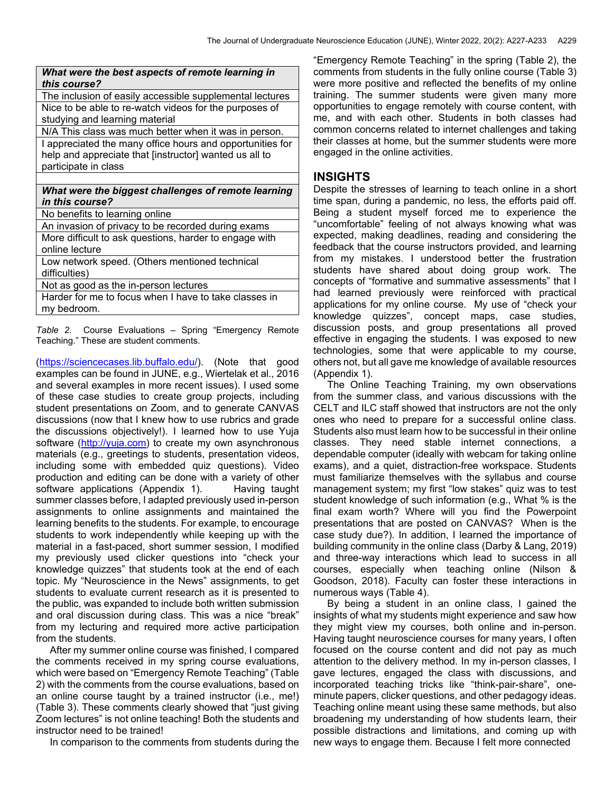| What were the best aspects of remote learning in<br><i>this course?</i> |  |
|-------------------------------------------------------------------------|--|
| The inclusion of easily accessible supplemental lectures                |  |
| Nice to be able to re-watch videos for the purposes of                  |  |
| studying and learning material                                          |  |
| N/A This class was much better when it was in person.                   |  |
| I appreciated the many office hours and opportunities for               |  |
| help and appreciate that [instructor] wanted us all to                  |  |
| participate in class                                                    |  |
|                                                                         |  |
| What were the biggest challenges of remote learning                     |  |
| <i>in this course?</i>                                                  |  |
| No benefits to learning online                                          |  |
| An invasion of privacy to be recorded during exams                      |  |
| More difficult to ask questions, harder to engage with                  |  |
| online lecture                                                          |  |
| Low network speed. (Others mentioned technical                          |  |
| difficulties)                                                           |  |
| Not as good as the in-person lectures                                   |  |
| Harder for me to focus when I have to take classes in<br>my bedroom.    |  |

*Table 2.* Course Evaluations – Spring "Emergency Remote Teaching." These are student comments.

(https://sciencecases.lib.buffalo.edu/). (Note that good examples can be found in JUNE, e.g., Wiertelak et al., 2016 and several examples in more recent issues). I used some of these case studies to create group projects, including student presentations on Zoom, and to generate CANVAS discussions (now that I knew how to use rubrics and grade the discussions objectively!). I learned how to use Yuja software (http://yuja.com) to create my own asynchronous materials (e.g., greetings to students, presentation videos, including some with embedded quiz questions). Video production and editing can be done with a variety of other software applications (Appendix 1). Having taught summer classes before, I adapted previously used in-person assignments to online assignments and maintained the learning benefits to the students. For example, to encourage students to work independently while keeping up with the material in a fast-paced, short summer session, I modified my previously used clicker questions into "check your knowledge quizzes" that students took at the end of each topic. My "Neuroscience in the News" assignments, to get students to evaluate current research as it is presented to the public, was expanded to include both written submission and oral discussion during class. This was a nice "break" from my lecturing and required more active participation from the students.

 After my summer online course was finished, I compared the comments received in my spring course evaluations, which were based on "Emergency Remote Teaching" (Table 2) with the comments from the course evaluations, based on an online course taught by a trained instructor (i.e., me!) (Table 3). These comments clearly showed that "just giving Zoom lectures" is not online teaching! Both the students and instructor need to be trained!

In comparison to the comments from students during the

"Emergency Remote Teaching" in the spring (Table 2), the comments from students in the fully online course (Table 3) were more positive and reflected the benefits of my online raining. The summer students were given many more opportunities to engage remotely with course content, with me, and with each other. Students in both classes had common concerns related to internet challenges and taking their classes at home, but the summer students were more engaged in the online activities.

## **INSIGHTS**

Despite the stresses of learning to teach online in a short time span, during a pandemic, no less, the efforts paid off. Being a student myself forced me to experience the "uncomfortable" feeling of not always knowing what was expected, making deadlines, reading and considering the feedback that the course instructors provided, and learning from my mistakes. I understood better the frustration students have shared about doing group work. The concepts of "formative and summative assessments" that I had learned previously were reinforced with practical applications for my online course. My use of "check your knowledge quizzes", concept maps, case studies, discussion posts, and group presentations all proved effective in engaging the students. I was exposed to new technologies, some that were applicable to my course, others not, but all gave me knowledge of available resources (Appendix 1).

 The Online Teaching Training, my own observations from the summer class, and various discussions with the CELT and ILC staff showed that instructors are not the only ones who need to prepare for a successful online class. Students also must learn how to be successful in their online classes. They need stable internet connections, a dependable computer (ideally with webcam for taking online exams), and a quiet, distraction-free workspace. Students must familiarize themselves with the syllabus and course management system; my first "low stakes" quiz was to test student knowledge of such information (e.g., What % is the final exam worth? Where will you find the Powerpoint presentations that are posted on CANVAS? When is the case study due?). In addition, I learned the importance of building community in the online class (Darby & Lang, 2019) and three-way interactions which lead to success in all courses, especially when teaching online (Nilson & Goodson, 2018). Faculty can foster these interactions in numerous ways (Table 4).

 By being a student in an online class, I gained the insights of what my students might experience and saw how they might view my courses, both online and in-person. Having taught neuroscience courses for many years, I often focused on the course content and did not pay as much attention to the delivery method. In my in-person classes, I gave lectures, engaged the class with discussions, and incorporated teaching tricks like "think-pair-share", oneminute papers, clicker questions, and other pedagogy ideas. Teaching online meant using these same methods, but also broadening my understanding of how students learn, their possible distractions and limitations, and coming up with new ways to engage them. Because I felt more connected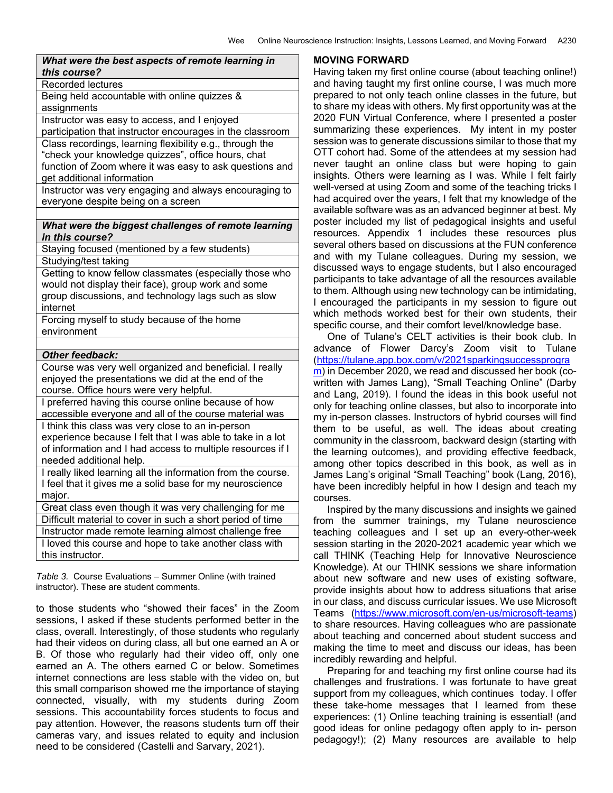| What were the best aspects of remote learning in<br>this course?                                                                                         |
|----------------------------------------------------------------------------------------------------------------------------------------------------------|
| Recorded lectures                                                                                                                                        |
| Being held accountable with online quizzes &<br>assignments                                                                                              |
| Instructor was easy to access, and I enjoyed                                                                                                             |
| participation that instructor encourages in the classroom                                                                                                |
| Class recordings, learning flexibility e.g., through the<br>"check your knowledge quizzes", office hours, chat                                           |
| function of Zoom where it was easy to ask questions and<br>get additional information                                                                    |
| Instructor was very engaging and always encouraging to<br>everyone despite being on a screen                                                             |
|                                                                                                                                                          |
| What were the biggest challenges of remote learning<br>in this course?                                                                                   |
| Staying focused (mentioned by a few students)                                                                                                            |
| Studying/test taking                                                                                                                                     |
| Getting to know fellow classmates (especially those who                                                                                                  |
| would not display their face), group work and some                                                                                                       |
| group discussions, and technology lags such as slow                                                                                                      |
| internet                                                                                                                                                 |
| Forcing myself to study because of the home<br>environment                                                                                               |
|                                                                                                                                                          |
| <b>Other feedback:</b>                                                                                                                                   |
| Course was very well organized and beneficial. I really<br>enjoyed the presentations we did at the end of the<br>course. Office hours were very helpful. |
| I preferred having this course online because of how<br>accessible everyone and all of the course material was                                           |
| I think this class was very close to an in-person                                                                                                        |
| experience because I felt that I was able to take in a lot                                                                                               |
| of information and I had access to multiple resources if I<br>needed additional help.                                                                    |
| I really liked learning all the information from the course.                                                                                             |
| I feel that it gives me a solid base for my neuroscience                                                                                                 |
| major.                                                                                                                                                   |
| Great class even though it was very challenging for me                                                                                                   |
| Difficult material to cover in such a short period of time                                                                                               |
| Instructor made remote learning almost challenge free                                                                                                    |
| I loved this course and hope to take another class with<br>this instructor.                                                                              |
|                                                                                                                                                          |

*Table 3.* Course Evaluations – Summer Online (with trained instructor). These are student comments.

to those students who "showed their faces" in the Zoom sessions, I asked if these students performed better in the class, overall. Interestingly, of those students who regularly had their videos on during class, all but one earned an A or B. Of those who regularly had their video off, only one earned an A. The others earned C or below. Sometimes internet connections are less stable with the video on, but this small comparison showed me the importance of staying connected, visually, with my students during Zoom sessions. This accountability forces students to focus and pay attention. However, the reasons students turn off their cameras vary, and issues related to equity and inclusion need to be considered (Castelli and Sarvary, 2021).

#### **MOVING FORWARD**

Having taken my first online course (about teaching online!) and having taught my first online course, I was much more prepared to not only teach online classes in the future, but to share my ideas with others. My first opportunity was at the 2020 FUN Virtual Conference, where I presented a poster summarizing these experiences. My intent in my poster session was to generate discussions similar to those that my OTT cohort had. Some of the attendees at my session had never taught an online class but were hoping to gain insights. Others were learning as I was. While I felt fairly well-versed at using Zoom and some of the teaching tricks I had acquired over the years, I felt that my knowledge of the available software was as an advanced beginner at best. My poster included my list of pedagogical insights and useful resources. Appendix 1 includes these resources plus several others based on discussions at the FUN conference and with my Tulane colleagues. During my session, we discussed ways to engage students, but I also encouraged participants to take advantage of all the resources available to them. Although using new technology can be intimidating, I encouraged the participants in my session to figure out which methods worked best for their own students, their specific course, and their comfort level/knowledge base.

 One of Tulane's CELT activities is their book club. In advance of Flower Darcy's Zoom visit to Tulane (https://tulane.app.box.com/v/2021sparkingsuccessprogra m) in December 2020, we read and discussed her book (cowritten with James Lang), "Small Teaching Online" (Darby and Lang, 2019). I found the ideas in this book useful not only for teaching online classes, but also to incorporate into my in-person classes. Instructors of hybrid courses will find them to be useful, as well. The ideas about creating community in the classroom, backward design (starting with the learning outcomes), and providing effective feedback, among other topics described in this book, as well as in James Lang's original "Small Teaching" book (Lang, 2016), have been incredibly helpful in how I design and teach my courses.

 Inspired by the many discussions and insights we gained from the summer trainings, my Tulane neuroscience teaching colleagues and I set up an every-other-week session starting in the 2020-2021 academic year which we call THINK (Teaching Help for Innovative Neuroscience Knowledge). At our THINK sessions we share information about new software and new uses of existing software, provide insights about how to address situations that arise in our class, and discuss curricular issues. We use Microsoft Teams (https://www.microsoft.com/en-us/microsoft-teams) to share resources. Having colleagues who are passionate about teaching and concerned about student success and making the time to meet and discuss our ideas, has been

incredibly rewarding and helpful. Preparing for and teaching my first online course had its challenges and frustrations. I was fortunate to have great support from my colleagues, which continues today. I offer these take-home messages that I learned from these experiences: (1) Online teaching training is essential! (and good ideas for online pedagogy often apply to in- person pedagogy!); (2) Many resources are available to help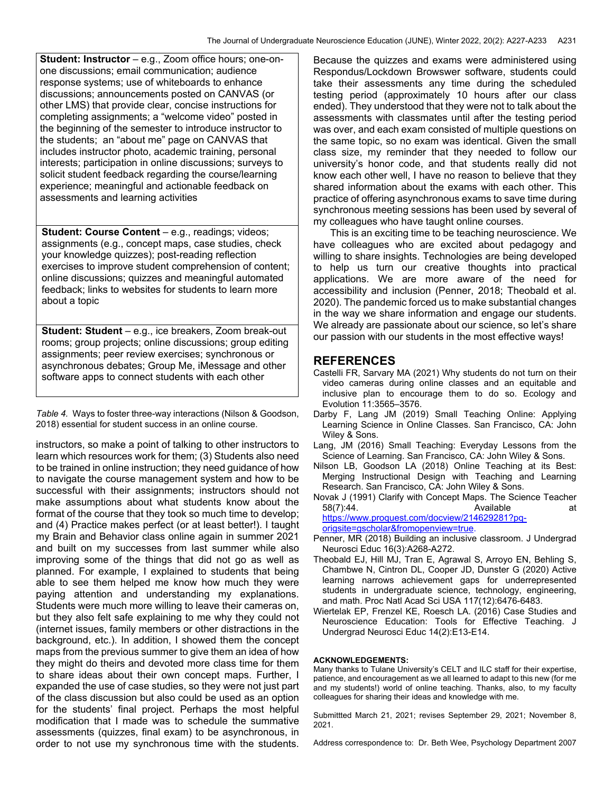**Student: Instructor** – e.g., Zoom office hours; one-onone discussions; email communication; audience response systems; use of whiteboards to enhance discussions; announcements posted on CANVAS (or other LMS) that provide clear, concise instructions for completing assignments; a "welcome video" posted in the beginning of the semester to introduce instructor to the students; an "about me" page on CANVAS that includes instructor photo, academic training, personal interests; participation in online discussions; surveys to solicit student feedback regarding the course/learning experience; meaningful and actionable feedback on assessments and learning activities

**Student: Course Content** – e.g., readings; videos; assignments (e.g., concept maps, case studies, check your knowledge quizzes); post-reading reflection exercises to improve student comprehension of content; online discussions; quizzes and meaningful automated feedback; links to websites for students to learn more about a topic

**Student: Student** – e.g., ice breakers, Zoom break-out rooms; group projects; online discussions; group editing assignments; peer review exercises; synchronous or asynchronous debates; Group Me, iMessage and other software apps to connect students with each other

*Table 4.* Ways to foster three-way interactions (Nilson & Goodson, 2018) essential for student success in an online course.

instructors, so make a point of talking to other instructors to learn which resources work for them; (3) Students also need to be trained in online instruction; they need guidance of how to navigate the course management system and how to be successful with their assignments; instructors should not make assumptions about what students know about the format of the course that they took so much time to develop; and (4) Practice makes perfect (or at least better!). I taught my Brain and Behavior class online again in summer 2021 and built on my successes from last summer while also improving some of the things that did not go as well as planned. For example, I explained to students that being able to see them helped me know how much they were paying attention and understanding my explanations. Students were much more willing to leave their cameras on, but they also felt safe explaining to me why they could not (internet issues, family members or other distractions in the background, etc.). In addition, I showed them the concept maps from the previous summer to give them an idea of how they might do theirs and devoted more class time for them to share ideas about their own concept maps. Further, I expanded the use of case studies, so they were not just part of the class discussion but also could be used as an option for the students' final project. Perhaps the most helpful modification that I made was to schedule the summative assessments (quizzes, final exam) to be asynchronous, in order to not use my synchronous time with the students.

Because the quizzes and exams were administered using Respondus/Lockdown Browswer software, students could take their assessments any time during the scheduled testing period (approximately 10 hours after our class ended). They understood that they were not to talk about the assessments with classmates until after the testing period was over, and each exam consisted of multiple questions on the same topic, so no exam was identical. Given the small class size, my reminder that they needed to follow our university's honor code, and that students really did not know each other well, I have no reason to believe that they shared information about the exams with each other. This practice of offering asynchronous exams to save time during synchronous meeting sessions has been used by several of

my colleagues who have taught online courses. This is an exciting time to be teaching neuroscience. We have colleagues who are excited about pedagogy and willing to share insights. Technologies are being developed to help us turn our creative thoughts into practical applications. We are more aware of the need for accessibility and inclusion (Penner, 2018; Theobald et al. 2020). The pandemic forced us to make substantial changes in the way we share information and engage our students. We already are passionate about our science, so let's share our passion with our students in the most effective ways!

#### **REFERENCES**

- Castelli FR, Sarvary MA (2021) Why students do not turn on their video cameras during online classes and an equitable and inclusive plan to encourage them to do so. Ecology and Evolution 11:3565–3576.
- Darby F, Lang JM (2019) Small Teaching Online: Applying Learning Science in Online Classes. San Francisco, CA: John Wiley & Sons.
- Lang, JM (2016) Small Teaching: Everyday Lessons from the Science of Learning. San Francisco, CA: John Wiley & Sons.
- Nilson LB, Goodson LA (2018) Online Teaching at its Best: Merging Instructional Design with Teaching and Learning Research. San Francisco, CA: John Wiley & Sons.

Novak J (1991) Clarify with Concept Maps. The Science Teacher 58(7):44. at the contract of the Available contract at a set of the contract of the contract of the contract of the contract of the contract of the contract of the contract of the contract of the contract of the contract o https://www.proquest.com/docview/214629281?pqorigsite=gscholar&fromopenview=true.

Penner, MR (2018) Building an inclusive classroom. J Undergrad Neurosci Educ 16(3):A268-A272.

- Theobald EJ, Hill MJ, Tran E, Agrawal S, Arroyo EN, Behling S, Chambwe N, Cintron DL, Cooper JD, Dunster G (2020) Active learning narrows achievement gaps for underrepresented students in undergraduate science, technology, engineering, and math. Proc Natl Acad Sci USA 117(12):6476-6483.
- Wiertelak EP, Frenzel KE, Roesch LA. (2016) Case Studies and Neuroscience Education: Tools for Effective Teaching. J Undergrad Neurosci Educ 14(2):E13-E14.

#### **ACKNOWLEDGEMENTS:**

Many thanks to Tulane University's CELT and ILC staff for their expertise, patience, and encouragement as we all learned to adapt to this new (for me and my students!) world of online teaching. Thanks, also, to my faculty colleagues for sharing their ideas and knowledge with me.

Submittted March 21, 2021; revises September 29, 2021; November 8, 2021.

Address correspondence to: Dr. Beth Wee, Psychology Department 2007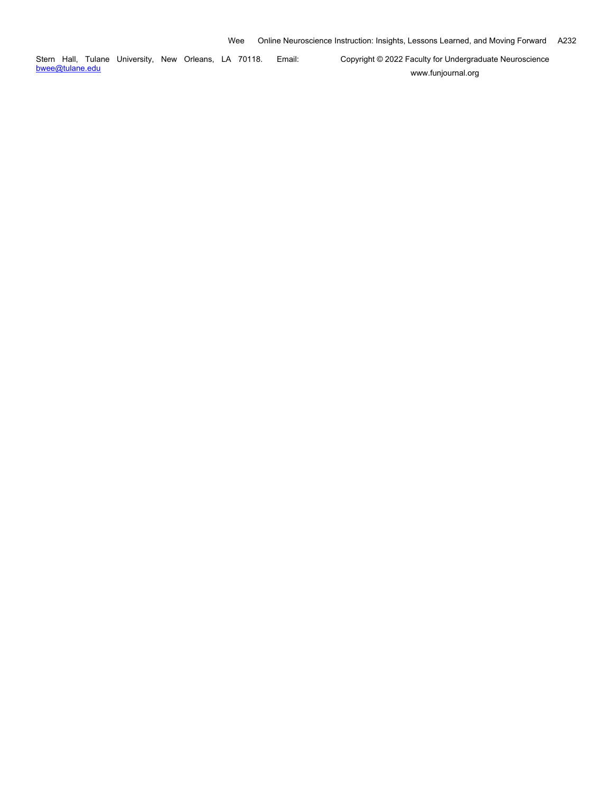Stern Hall, Tulane University, New Orleans, LA 70118. Email: bwee@tulane.edu

Copyright © 2022 Faculty for Undergraduate Neuroscience www.funjournal.org